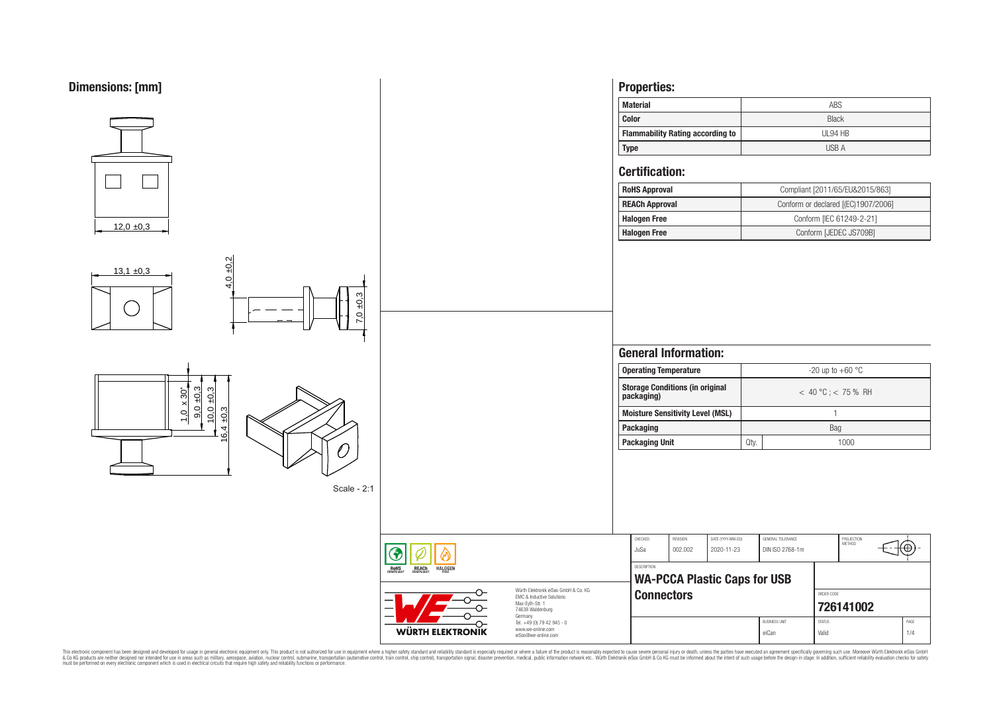

This electronic component has been designed and developed for usage in general electronic equipment only. This product is not authorized for subserved requipment where a higher selection equipment where a higher selection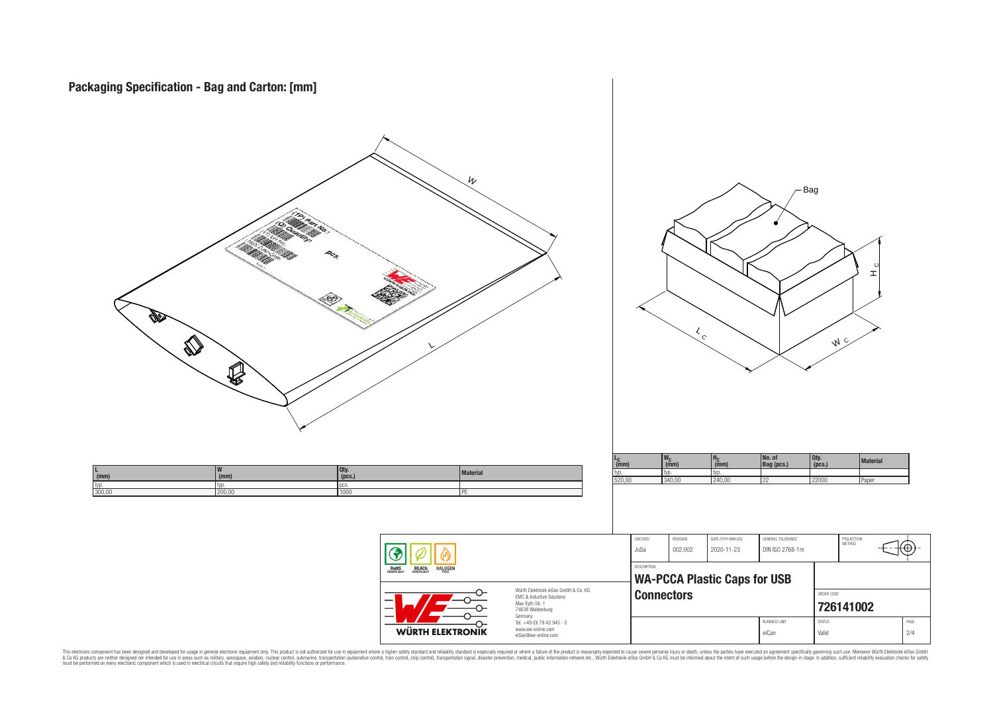

This electronic component has been designed and developed for usage in general electronic equipment only. This product is not authorized for subserved requipment where a higher selection equipment where a higher selection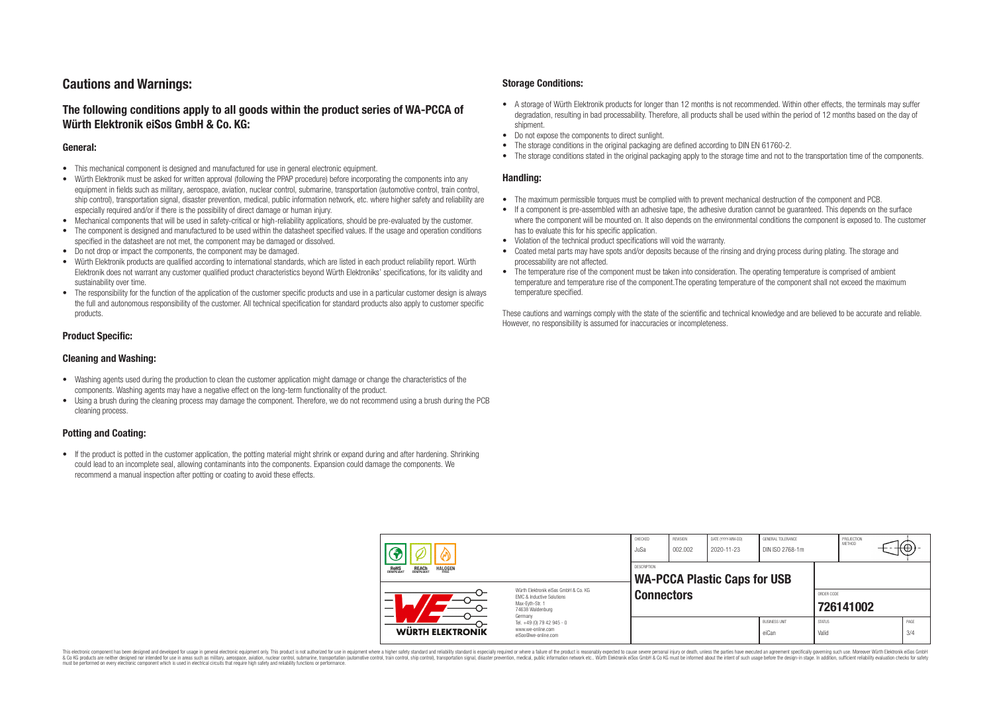# **Cautions and Warnings:**

# **The following conditions apply to all goods within the product series of WA-PCCA of Würth Elektronik eiSos GmbH & Co. KG:**

### **General:**

- This mechanical component is designed and manufactured for use in general electronic equipment.
- Würth Elektronik must be asked for written approval (following the PPAP procedure) before incorporating the components into any equipment in fields such as military, aerospace, aviation, nuclear control, submarine, transportation (automotive control, train control, ship control), transportation signal, disaster prevention, medical, public information network, etc. where higher safety and reliability are especially required and/or if there is the possibility of direct damage or human injury.
- Mechanical components that will be used in safety-critical or high-reliability applications, should be pre-evaluated by the customer.
- The component is designed and manufactured to be used within the datasheet specified values. If the usage and operation conditions specified in the datasheet are not met, the component may be damaged or dissolved.
- Do not drop or impact the components, the component may be damaged.
- Würth Elektronik products are qualified according to international standards, which are listed in each product reliability report. Würth Elektronik does not warrant any customer qualified product characteristics beyond Würth Elektroniks' specifications, for its validity and sustainability over time.
- The responsibility for the function of the application of the customer specific products and use in a particular customer design is always the full and autonomous responsibility of the customer. All technical specification for standard products also apply to customer specific products.

## **Product Specific:**

### **Cleaning and Washing:**

- Washing agents used during the production to clean the customer application might damage or change the characteristics of the components. Washing agents may have a negative effect on the long-term functionality of the product.
- Using a brush during the cleaning process may damage the component. Therefore, we do not recommend using a brush during the PCB cleaning process.

# **Potting and Coating:**

• If the product is potted in the customer application, the potting material might shrink or expand during and after hardening. Shrinking could lead to an incomplete seal, allowing contaminants into the components. Expansion could damage the components. We recommend a manual inspection after potting or coating to avoid these effects.

## **Storage Conditions:**

- A storage of Würth Elektronik products for longer than 12 months is not recommended. Within other effects, the terminals may suffer degradation, resulting in bad processability. Therefore, all products shall be used within the period of 12 months based on the day of shipment.
- Do not expose the components to direct sunlight.<br>• The storage conditions in the original packaging
- The storage conditions in the original packaging are defined according to DIN EN 61760-2.
- The storage conditions stated in the original packaging apply to the storage time and not to the transportation time of the components.

## **Handling:**

- The maximum permissible torques must be complied with to prevent mechanical destruction of the component and PCB.
- If a component is pre-assembled with an adhesive tape, the adhesive duration cannot be guaranteed. This depends on the surface where the component will be mounted on. It also depends on the environmental conditions the component is exposed to. The customer has to evaluate this for his specific application.
- Violation of the technical product specifications will void the warranty.
- Coated metal parts may have spots and/or deposits because of the rinsing and drying process during plating. The storage and processability are not affected.
- The temperature rise of the component must be taken into consideration. The operating temperature is comprised of ambient temperature and temperature rise of the component.The operating temperature of the component shall not exceed the maximum temperature specified.

These cautions and warnings comply with the state of the scientific and technical knowledge and are believed to be accurate and reliable. However, no responsibility is assumed for inaccuracies or incompleteness.

| <b>HALOGEN</b><br><b>REACH</b><br>COMPLIANT<br>ROHS<br>COMPLIANT |                                                                                                                                                                                                          | CHECKED<br>JuSa    | <b>REVISION</b><br>002.002          | DATE (YYYY-MM-DD)<br>2020-11-23 | <b>GENERAL TOLERANCE</b><br>DIN ISO 2768-1m |                        | PROJECTION<br><b>METHOD</b> |  | —⊕,         |
|------------------------------------------------------------------|----------------------------------------------------------------------------------------------------------------------------------------------------------------------------------------------------------|--------------------|-------------------------------------|---------------------------------|---------------------------------------------|------------------------|-----------------------------|--|-------------|
|                                                                  |                                                                                                                                                                                                          | <b>DESCRIPTION</b> | <b>WA-PCCA Plastic Caps for USB</b> |                                 |                                             |                        |                             |  |             |
| –                                                                | Würth Flektronik eiSos GmbH & Co. KG<br><b>EMC &amp; Inductive Solutions</b><br>Max-Eyth-Str. 1<br>74638 Waldenburg<br>Germany<br>Tel. +49 (0) 79 42 945 - 0<br>www.we-online.com<br>eiSos@we-online.com |                    | <b>Connectors</b>                   |                                 |                                             |                        | ORDER CODE<br>726141002     |  |             |
| <b>WÜRTH ELEKTRONIK</b>                                          |                                                                                                                                                                                                          |                    |                                     |                                 | <b>BUSINESS UNIT</b><br>eiCan               | <b>STATUS</b><br>Valid |                             |  | PAGE<br>3/4 |

This electronic component has been designed and developed for usage in general electronic equipment only. This product is not authorized for use in equipment where a higher safety standard and reliability standard si espec & Ook product a label and the membed of the seasuch as marked and as which such a membed and the such assume that income in the seasuch and the simulation and the such assume that include to the such a membed and the such